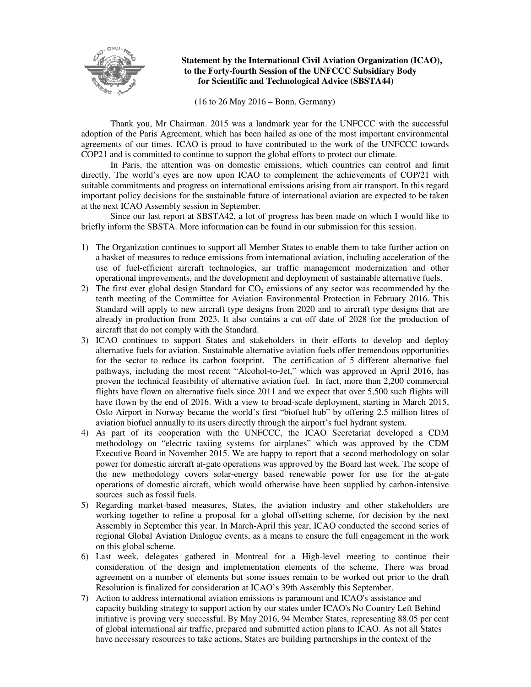

## **Statement by the International Civil Aviation Organization (ICAO), to the Forty-fourth Session of the UNFCCC Subsidiary Body for Scientific and Technological Advice (SBSTA44)**

(16 to 26 May 2016 – Bonn, Germany)

Thank you, Mr Chairman. 2015 was a landmark year for the UNFCCC with the successful adoption of the Paris Agreement, which has been hailed as one of the most important environmental agreements of our times. ICAO is proud to have contributed to the work of the UNFCCC towards COP21 and is committed to continue to support the global efforts to protect our climate.

In Paris, the attention was on domestic emissions, which countries can control and limit directly. The world's eyes are now upon ICAO to complement the achievements of COP/21 with suitable commitments and progress on international emissions arising from air transport. In this regard important policy decisions for the sustainable future of international aviation are expected to be taken at the next ICAO Assembly session in September.

Since our last report at SBSTA42, a lot of progress has been made on which I would like to briefly inform the SBSTA. More information can be found in our submission for this session.

- 1) The Organization continues to support all Member States to enable them to take further action on a basket of measures to reduce emissions from international aviation, including acceleration of the use of fuel-efficient aircraft technologies, air traffic management modernization and other operational improvements, and the development and deployment of sustainable alternative fuels.
- 2) The first ever global design Standard for  $CO<sub>2</sub>$  emissions of any sector was recommended by the tenth meeting of the Committee for Aviation Environmental Protection in February 2016. This Standard will apply to new aircraft type designs from 2020 and to aircraft type designs that are already in-production from 2023. It also contains a cut-off date of 2028 for the production of aircraft that do not comply with the Standard.
- 3) ICAO continues to support States and stakeholders in their efforts to develop and deploy alternative fuels for aviation. Sustainable alternative aviation fuels offer tremendous opportunities for the sector to reduce its carbon footprint. The certification of 5 different alternative fuel pathways, including the most recent "Alcohol-to-Jet," which was approved in April 2016, has proven the technical feasibility of alternative aviation fuel. In fact, more than 2,200 commercial flights have flown on alternative fuels since 2011 and we expect that over 5,500 such flights will have flown by the end of 2016. With a view to broad-scale deployment, starting in March 2015, Oslo Airport in Norway became the world's first "biofuel hub" by offering 2.5 million litres of aviation biofuel annually to its users directly through the airport's fuel hydrant system.
- 4) As part of its cooperation with the UNFCCC, the ICAO Secretariat developed a CDM methodology on "electric taxiing systems for airplanes" which was approved by the CDM Executive Board in November 2015. We are happy to report that a second methodology on solar power for domestic aircraft at-gate operations was approved by the Board last week. The scope of the new methodology covers solar-energy based renewable power for use for the at-gate operations of domestic aircraft, which would otherwise have been supplied by carbon-intensive sources such as fossil fuels.
- 5) Regarding market-based measures, States, the aviation industry and other stakeholders are working together to refine a proposal for a global offsetting scheme, for decision by the next Assembly in September this year. In March-April this year, ICAO conducted the second series of regional Global Aviation Dialogue events, as a means to ensure the full engagement in the work on this global scheme.
- 6) Last week, delegates gathered in Montreal for a High-level meeting to continue their consideration of the design and implementation elements of the scheme. There was broad agreement on a number of elements but some issues remain to be worked out prior to the draft Resolution is finalized for consideration at ICAO's 39th Assembly this September.
- 7) Action to address international aviation emissions is paramount and ICAO's assistance and capacity building strategy to support action by our states under ICAO's No Country Left Behind initiative is proving very successful. By May 2016, 94 Member States, representing 88.05 per cent of global international air traffic, prepared and submitted action plans to ICAO. As not all States have necessary resources to take actions, States are building partnerships in the context of the